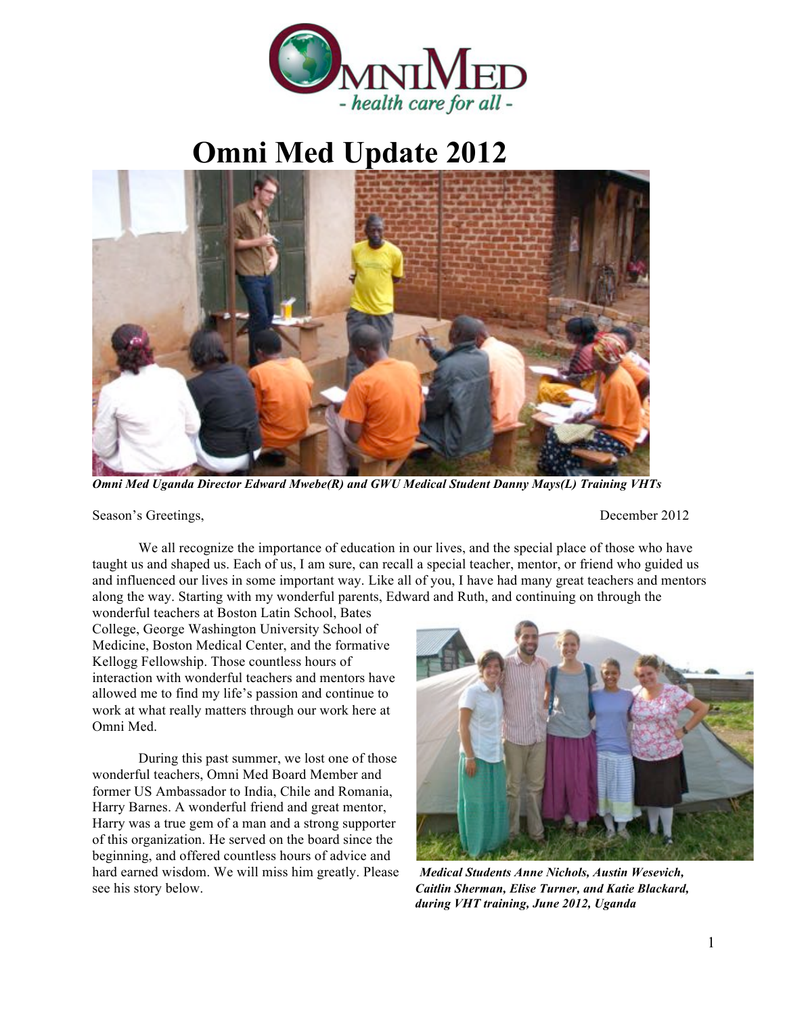

## **Omni Med Update 2012**



*Omni Med Uganda Director Edward Mwebe(R) and GWU Medical Student Danny Mays(L) Training VHTs*

Season's Greetings, December 2012

We all recognize the importance of education in our lives, and the special place of those who have taught us and shaped us. Each of us, I am sure, can recall a special teacher, mentor, or friend who guided us and influenced our lives in some important way. Like all of you, I have had many great teachers and mentors along the way. Starting with my wonderful parents, Edward and Ruth, and continuing on through the

wonderful teachers at Boston Latin School, Bates College, George Washington University School of Medicine, Boston Medical Center, and the formative Kellogg Fellowship. Those countless hours of interaction with wonderful teachers and mentors have allowed me to find my life's passion and continue to work at what really matters through our work here at Omni Med.

During this past summer, we lost one of those wonderful teachers, Omni Med Board Member and former US Ambassador to India, Chile and Romania, Harry Barnes. A wonderful friend and great mentor, Harry was a true gem of a man and a strong supporter of this organization. He served on the board since the beginning, and offered countless hours of advice and hard earned wisdom. We will miss him greatly. Please *Medical Students Anne Nichols, Austin Wesevich,*  see his story below. *Caitlin Sherman, Elise Turner, and Katie Blackard,* 



*during VHT training, June 2012, Uganda*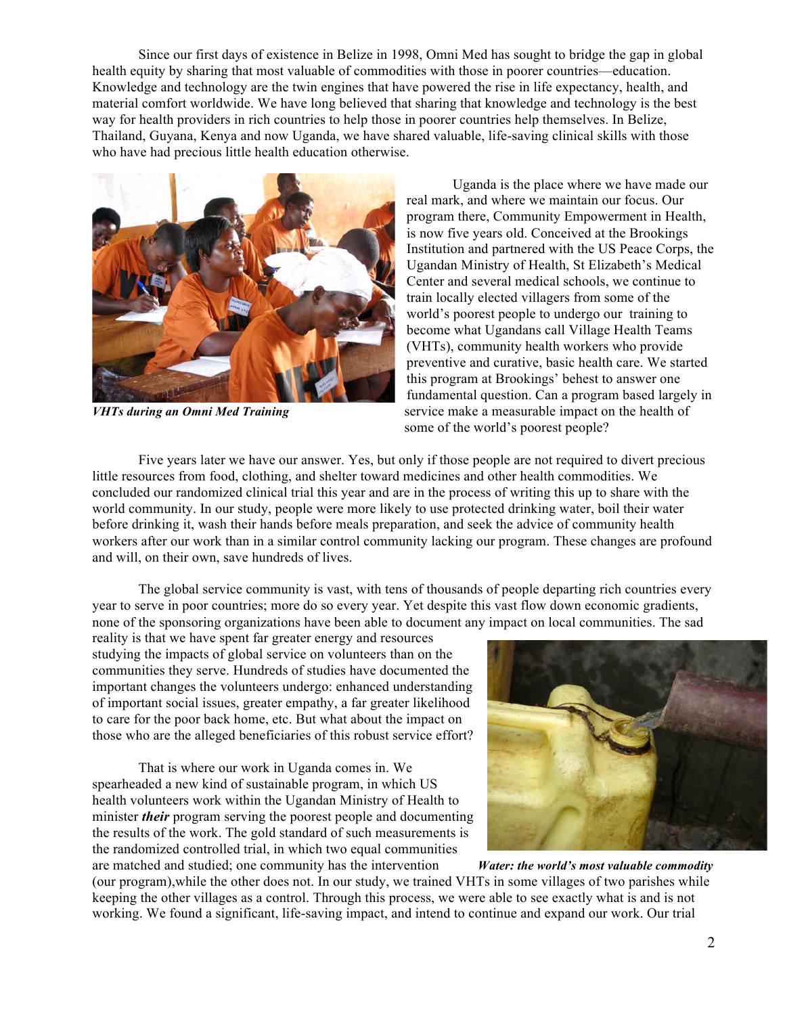Since our first days of existence in Belize in 1998, Omni Med has sought to bridge the gap in global health equity by sharing that most valuable of commodities with those in poorer countries—education. Knowledge and technology are the twin engines that have powered the rise in life expectancy, health, and material comfort worldwide. We have long believed that sharing that knowledge and technology is the best way for health providers in rich countries to help those in poorer countries help themselves. In Belize, Thailand, Guyana, Kenya and now Uganda, we have shared valuable, life-saving clinical skills with those who have had precious little health education otherwise.



Uganda is the place where we have made our real mark, and where we maintain our focus. Our program there, Community Empowerment in Health, is now five years old. Conceived at the Brookings Institution and partnered with the US Peace Corps, the Ugandan Ministry of Health, St Elizabeth's Medical Center and several medical schools, we continue to train locally elected villagers from some of the world's poorest people to undergo our training to become what Ugandans call Village Health Teams (VHTs), community health workers who provide preventive and curative, basic health care. We started this program at Brookings' behest to answer one fundamental question. Can a program based largely in *VHTs during an Omni Med Training* service make a measurable impact on the health of some of the world's poorest people?

Five years later we have our answer. Yes, but only if those people are not required to divert precious little resources from food, clothing, and shelter toward medicines and other health commodities. We concluded our randomized clinical trial this year and are in the process of writing this up to share with the world community. In our study, people were more likely to use protected drinking water, boil their water before drinking it, wash their hands before meals preparation, and seek the advice of community health workers after our work than in a similar control community lacking our program. These changes are profound and will, on their own, save hundreds of lives.

The global service community is vast, with tens of thousands of people departing rich countries every year to serve in poor countries; more do so every year. Yet despite this vast flow down economic gradients, none of the sponsoring organizations have been able to document any impact on local communities. The sad

reality is that we have spent far greater energy and resources studying the impacts of global service on volunteers than on the communities they serve. Hundreds of studies have documented the important changes the volunteers undergo: enhanced understanding of important social issues, greater empathy, a far greater likelihood to care for the poor back home, etc. But what about the impact on those who are the alleged beneficiaries of this robust service effort?

That is where our work in Uganda comes in. We spearheaded a new kind of sustainable program, in which US health volunteers work within the Ugandan Ministry of Health to minister *their* program serving the poorest people and documenting the results of the work. The gold standard of such measurements is the randomized controlled trial, in which two equal communities



are matched and studied; one community has the intervention *Water: the world's most valuable commodity* (our program),while the other does not. In our study, we trained VHTs in some villages of two parishes while keeping the other villages as a control. Through this process, we were able to see exactly what is and is not working. We found a significant, life-saving impact, and intend to continue and expand our work. Our trial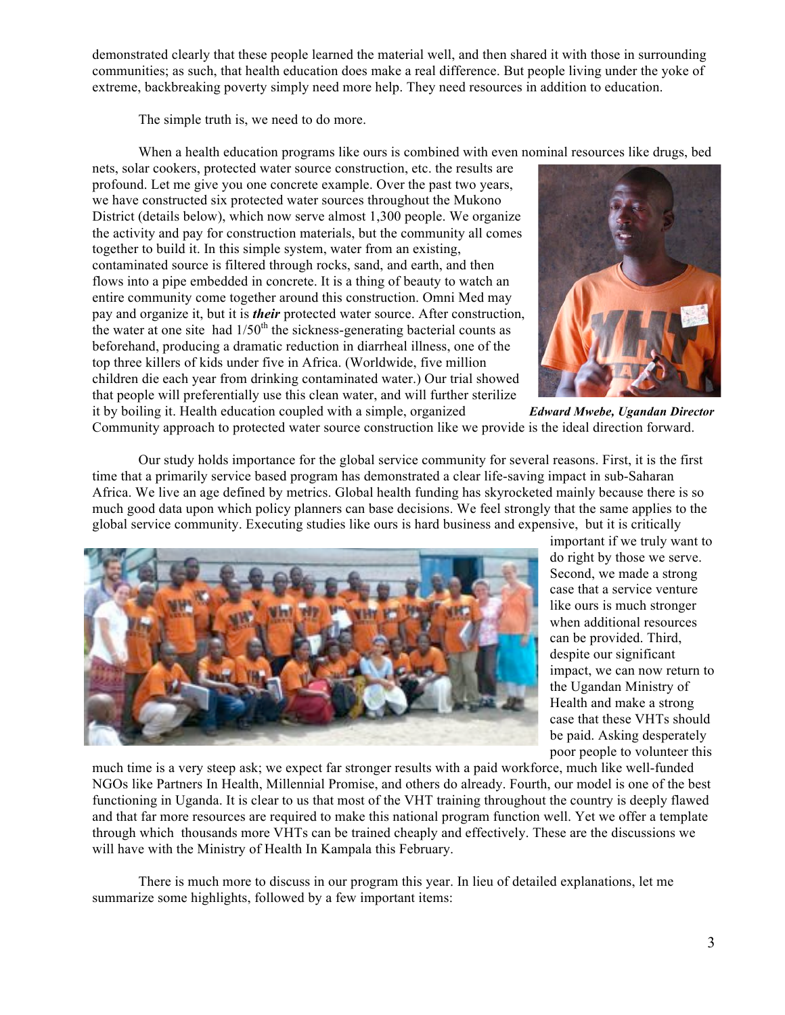demonstrated clearly that these people learned the material well, and then shared it with those in surrounding communities; as such, that health education does make a real difference. But people living under the yoke of extreme, backbreaking poverty simply need more help. They need resources in addition to education.

The simple truth is, we need to do more.

When a health education programs like ours is combined with even nominal resources like drugs, bed

nets, solar cookers, protected water source construction, etc. the results are profound. Let me give you one concrete example. Over the past two years, we have constructed six protected water sources throughout the Mukono District (details below), which now serve almost 1,300 people. We organize the activity and pay for construction materials, but the community all comes together to build it. In this simple system, water from an existing, contaminated source is filtered through rocks, sand, and earth, and then flows into a pipe embedded in concrete. It is a thing of beauty to watch an entire community come together around this construction. Omni Med may pay and organize it, but it is *their* protected water source. After construction, the water at one site had  $1/50<sup>th</sup>$  the sickness-generating bacterial counts as beforehand, producing a dramatic reduction in diarrheal illness, one of the top three killers of kids under five in Africa. (Worldwide, five million children die each year from drinking contaminated water.) Our trial showed that people will preferentially use this clean water, and will further sterilize it by boiling it. Health education coupled with a simple, organized *Edward Mwebe, Ugandan Director*



Community approach to protected water source construction like we provide is the ideal direction forward.

Our study holds importance for the global service community for several reasons. First, it is the first time that a primarily service based program has demonstrated a clear life-saving impact in sub-Saharan Africa. We live an age defined by metrics. Global health funding has skyrocketed mainly because there is so much good data upon which policy planners can base decisions. We feel strongly that the same applies to the global service community. Executing studies like ours is hard business and expensive, but it is critically



important if we truly want to do right by those we serve. Second, we made a strong case that a service venture like ours is much stronger when additional resources can be provided. Third, despite our significant impact, we can now return to the Ugandan Ministry of Health and make a strong case that these VHTs should be paid. Asking desperately poor people to volunteer this

much time is a very steep ask; we expect far stronger results with a paid workforce, much like well-funded NGOs like Partners In Health, Millennial Promise, and others do already. Fourth, our model is one of the best functioning in Uganda. It is clear to us that most of the VHT training throughout the country is deeply flawed and that far more resources are required to make this national program function well. Yet we offer a template through which thousands more VHTs can be trained cheaply and effectively. These are the discussions we will have with the Ministry of Health In Kampala this February.

There is much more to discuss in our program this year. In lieu of detailed explanations, let me summarize some highlights, followed by a few important items: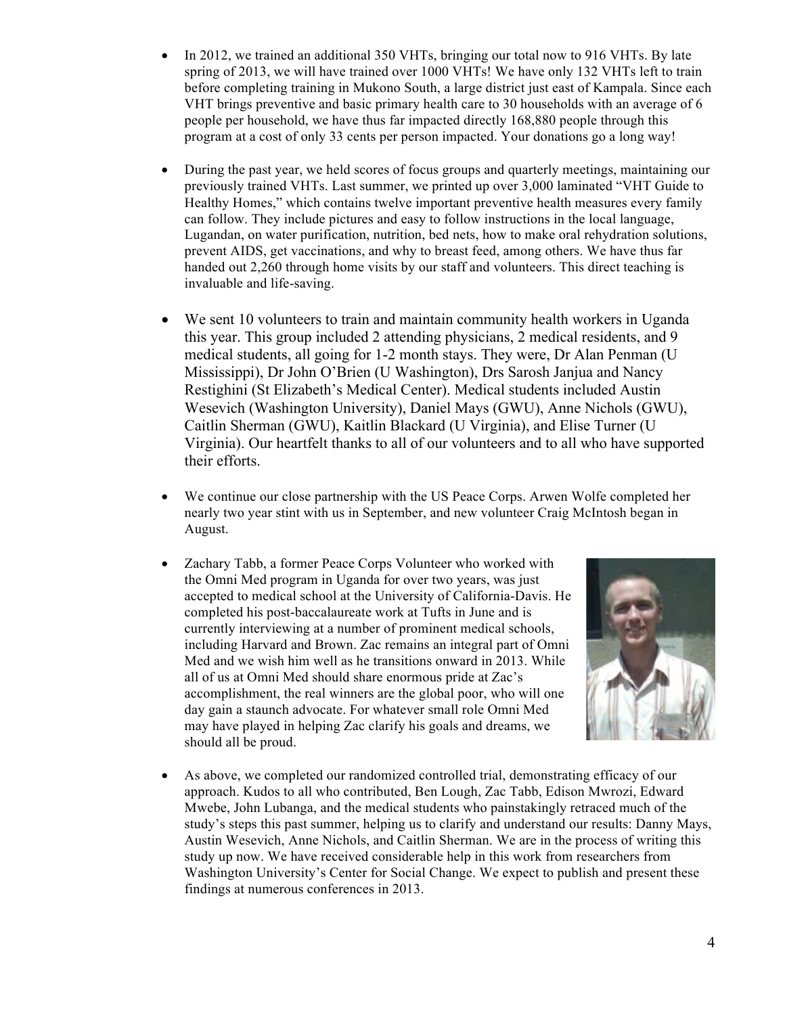- In 2012, we trained an additional 350 VHTs, bringing our total now to 916 VHTs. By late spring of 2013, we will have trained over 1000 VHTs! We have only 132 VHTs left to train before completing training in Mukono South, a large district just east of Kampala. Since each VHT brings preventive and basic primary health care to 30 households with an average of 6 people per household, we have thus far impacted directly 168,880 people through this program at a cost of only 33 cents per person impacted. Your donations go a long way!
- During the past year, we held scores of focus groups and quarterly meetings, maintaining our previously trained VHTs. Last summer, we printed up over 3,000 laminated "VHT Guide to Healthy Homes," which contains twelve important preventive health measures every family can follow. They include pictures and easy to follow instructions in the local language, Lugandan, on water purification, nutrition, bed nets, how to make oral rehydration solutions, prevent AIDS, get vaccinations, and why to breast feed, among others. We have thus far handed out 2,260 through home visits by our staff and volunteers. This direct teaching is invaluable and life-saving.
- We sent 10 volunteers to train and maintain community health workers in Uganda this year. This group included 2 attending physicians, 2 medical residents, and 9 medical students, all going for 1-2 month stays. They were, Dr Alan Penman (U Mississippi), Dr John O'Brien (U Washington), Drs Sarosh Janjua and Nancy Restighini (St Elizabeth's Medical Center). Medical students included Austin Wesevich (Washington University), Daniel Mays (GWU), Anne Nichols (GWU), Caitlin Sherman (GWU), Kaitlin Blackard (U Virginia), and Elise Turner (U Virginia). Our heartfelt thanks to all of our volunteers and to all who have supported their efforts.
- We continue our close partnership with the US Peace Corps. Arwen Wolfe completed her nearly two year stint with us in September, and new volunteer Craig McIntosh began in August.
- Zachary Tabb, a former Peace Corps Volunteer who worked with the Omni Med program in Uganda for over two years, was just accepted to medical school at the University of California-Davis. He completed his post-baccalaureate work at Tufts in June and is currently interviewing at a number of prominent medical schools, including Harvard and Brown. Zac remains an integral part of Omni Med and we wish him well as he transitions onward in 2013. While all of us at Omni Med should share enormous pride at Zac's accomplishment, the real winners are the global poor, who will one day gain a staunch advocate. For whatever small role Omni Med may have played in helping Zac clarify his goals and dreams, we should all be proud.



• As above, we completed our randomized controlled trial, demonstrating efficacy of our approach. Kudos to all who contributed, Ben Lough, Zac Tabb, Edison Mwrozi, Edward Mwebe, John Lubanga, and the medical students who painstakingly retraced much of the study's steps this past summer, helping us to clarify and understand our results: Danny Mays, Austin Wesevich, Anne Nichols, and Caitlin Sherman. We are in the process of writing this study up now. We have received considerable help in this work from researchers from Washington University's Center for Social Change. We expect to publish and present these findings at numerous conferences in 2013.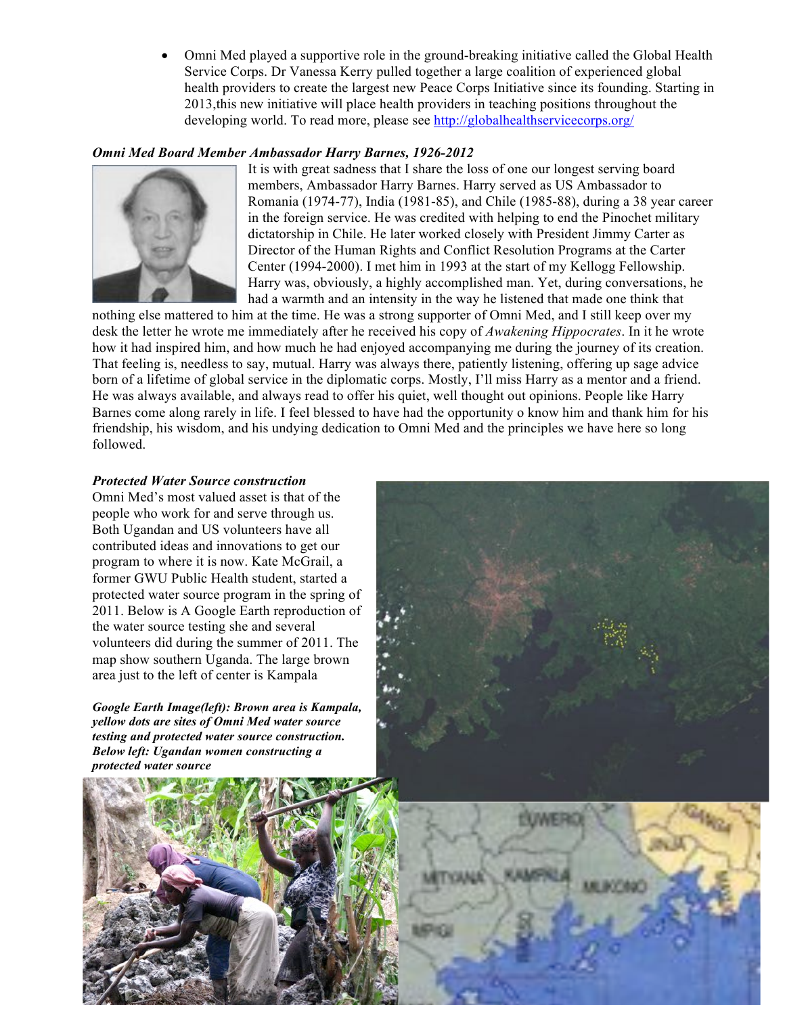• Omni Med played a supportive role in the ground-breaking initiative called the Global Health Service Corps. Dr Vanessa Kerry pulled together a large coalition of experienced global health providers to create the largest new Peace Corps Initiative since its founding. Starting in 2013,this new initiative will place health providers in teaching positions throughout the developing world. To read more, please see http://globalhealthservicecorps.org/

## *Omni Med Board Member Ambassador Harry Barnes, 1926-2012*



It is with great sadness that I share the loss of one our longest serving board members, Ambassador Harry Barnes. Harry served as US Ambassador to Romania (1974-77), India (1981-85), and Chile (1985-88), during a 38 year career in the foreign service. He was credited with helping to end the Pinochet military dictatorship in Chile. He later worked closely with President Jimmy Carter as Director of the Human Rights and Conflict Resolution Programs at the Carter Center (1994-2000). I met him in 1993 at the start of my Kellogg Fellowship. Harry was, obviously, a highly accomplished man. Yet, during conversations, he had a warmth and an intensity in the way he listened that made one think that

nothing else mattered to him at the time. He was a strong supporter of Omni Med, and I still keep over my desk the letter he wrote me immediately after he received his copy of *Awakening Hippocrates*. In it he wrote how it had inspired him, and how much he had enjoyed accompanying me during the journey of its creation. That feeling is, needless to say, mutual. Harry was always there, patiently listening, offering up sage advice born of a lifetime of global service in the diplomatic corps. Mostly, I'll miss Harry as a mentor and a friend. He was always available, and always read to offer his quiet, well thought out opinions. People like Harry Barnes come along rarely in life. I feel blessed to have had the opportunity o know him and thank him for his friendship, his wisdom, and his undying dedication to Omni Med and the principles we have here so long followed.

## *Protected Water Source construction*

Omni Med's most valued asset is that of the people who work for and serve through us. Both Ugandan and US volunteers have all contributed ideas and innovations to get our program to where it is now. Kate McGrail, a former GWU Public Health student, started a protected water source program in the spring of 2011. Below is A Google Earth reproduction of the water source testing she and several volunteers did during the summer of 2011. The map show southern Uganda. The large brown area just to the left of center is Kampala

*Google Earth Image(left): Brown area is Kampala, yellow dots are sites of Omni Med water source testing and protected water source construction. Below left: Ugandan women constructing a protected water source*